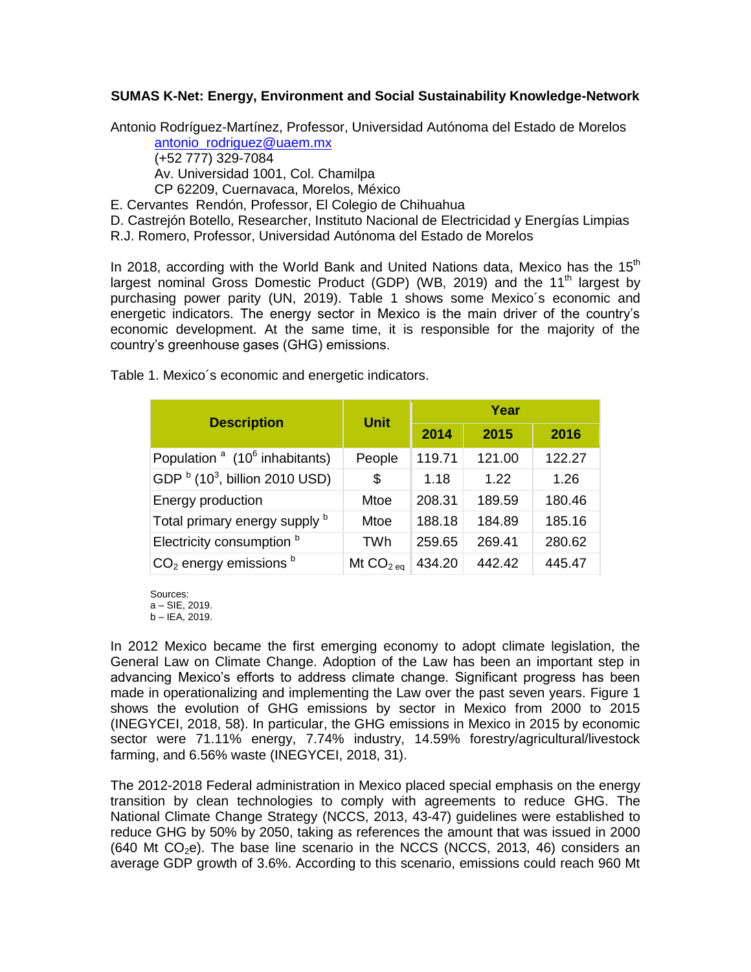## **SUMAS K-Net: Energy, Environment and Social Sustainability Knowledge-Network**

Antonio Rodríguez-Martínez, Professor, Universidad Autónoma del Estado de Morelos [antonio\\_rodriguez@uaem.mx](mailto:antonio_rodriguez@uaem.mx) (+52 777) 329-7084 Av. Universidad 1001, Col. Chamilpa CP 62209, Cuernavaca, Morelos, México E. Cervantes Rendón, Professor, El Colegio de Chihuahua

D. Castrejón Botello, Researcher, Instituto Nacional de Electricidad y Energías Limpias

R.J. Romero, Professor, Universidad Autónoma del Estado de Morelos

In 2018, according with the World Bank and United Nations data, Mexico has the  $15<sup>th</sup>$ largest nominal Gross Domestic Product (GDP) (WB, 2019) and the 11<sup>th</sup> largest by purchasing power parity (UN, 2019). Table 1 shows some Mexico´s economic and energetic indicators. The energy sector in Mexico is the main driver of the country's economic development. At the same time, it is responsible for the majority of the country's greenhouse gases (GHG) emissions.

| <b>Description</b>                           | <b>Unit</b> | Year   |        |        |
|----------------------------------------------|-------------|--------|--------|--------|
|                                              |             | 2014   | 2015   | 2016   |
| Population $a(10^6)$ inhabitants)            | People      | 119.71 | 121.00 | 122.27 |
| GDP $b$ (10 <sup>3</sup> , billion 2010 USD) | \$          | 1.18   | 1.22   | 1.26   |
| Energy production                            | Mtoe        | 208.31 | 189.59 | 180.46 |
| Total primary energy supply b                | Mtoe        | 188.18 | 184.89 | 185.16 |
| Electricity consumption b                    | <b>TWh</b>  | 259.65 | 269.41 | 280.62 |
| $CO2$ energy emissions $b$                   | Mt $CO2$ ea | 434.20 | 442.42 | 445.47 |

Table 1. Mexico´s economic and energetic indicators.

Sources: a – SIE, 2019. b – IEA, 2019.

In 2012 Mexico became the first emerging economy to adopt climate legislation, the General Law on Climate Change. Adoption of the Law has been an important step in advancing Mexico's efforts to address climate change. Significant progress has been made in operationalizing and implementing the Law over the past seven years. Figure 1 shows the evolution of GHG emissions by sector in Mexico from 2000 to 2015 (INEGYCEI, 2018, 58). In particular, the GHG emissions in Mexico in 2015 by economic sector were 71.11% energy, 7.74% industry, 14.59% forestry/agricultural/livestock farming, and 6.56% waste (INEGYCEI, 2018, 31).

The 2012-2018 Federal administration in Mexico placed special emphasis on the energy transition by clean technologies to comply with agreements to reduce GHG. The National Climate Change Strategy (NCCS, 2013, 43-47) guidelines were established to reduce GHG by 50% by 2050, taking as references the amount that was issued in 2000  $(640$  Mt CO<sub>2</sub>e). The base line scenario in the NCCS (NCCS, 2013, 46) considers an average GDP growth of 3.6%. According to this scenario, emissions could reach 960 Mt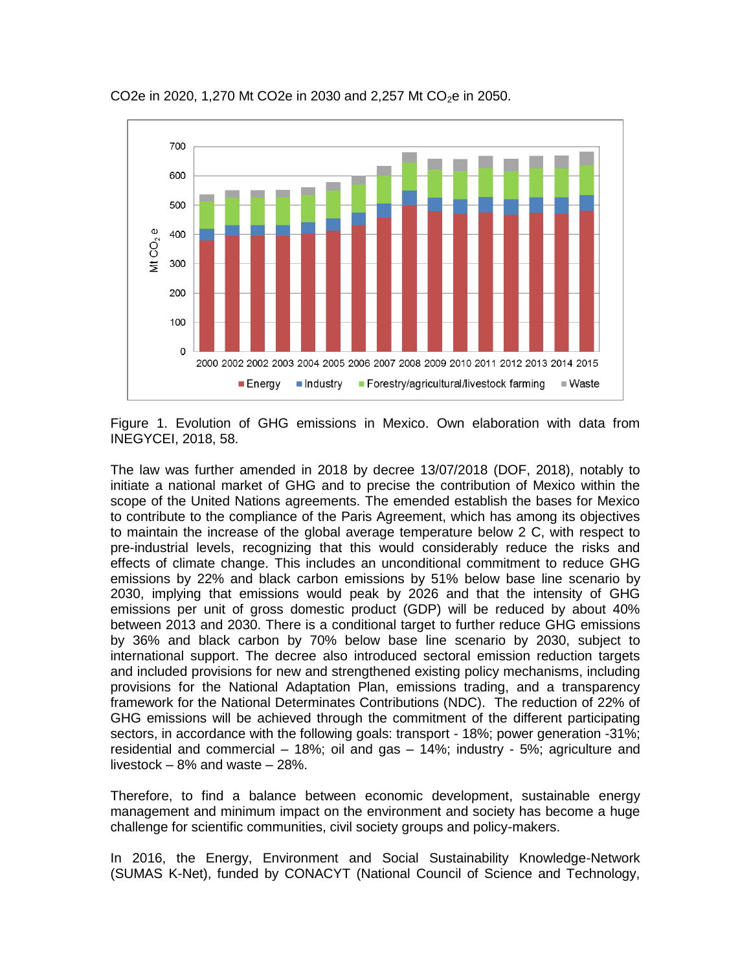

CO2e in 2020, 1,270 Mt CO2e in 2030 and 2,257 Mt CO<sub>2</sub>e in 2050.

Figure 1. Evolution of GHG emissions in Mexico. Own elaboration with data from INEGYCEI, 2018, 58.

The law was further amended in 2018 by decree 13/07/2018 (DOF, 2018), notably to initiate a national market of GHG and to precise the contribution of Mexico within the scope of the United Nations agreements. The emended establish the bases for Mexico to contribute to the compliance of the Paris Agreement, which has among its objectives to maintain the increase of the global average temperature below 2 C, with respect to pre-industrial levels, recognizing that this would considerably reduce the risks and effects of climate change. This includes an unconditional commitment to reduce GHG emissions by 22% and black carbon emissions by 51% below base line scenario by 2030, implying that emissions would peak by 2026 and that the intensity of GHG emissions per unit of gross domestic product (GDP) will be reduced by about 40% between 2013 and 2030. There is a conditional target to further reduce GHG emissions by 36% and black carbon by 70% below base line scenario by 2030, subject to international support. The decree also introduced sectoral emission reduction targets and included provisions for new and strengthened existing policy mechanisms, including provisions for the National Adaptation Plan, emissions trading, and a transparency framework for the National Determinates Contributions (NDC). The reduction of 22% of GHG emissions will be achieved through the commitment of the different participating sectors, in accordance with the following goals: transport - 18%; power generation -31%; residential and commercial – 18%; oil and gas – 14%; industry - 5%; agriculture and livestock – 8% and waste – 28%.

Therefore, to find a balance between economic development, sustainable energy management and minimum impact on the environment and society has become a huge challenge for scientific communities, civil society groups and policy-makers.

In 2016, the Energy, Environment and Social Sustainability Knowledge-Network (SUMAS K-Net), funded by CONACYT (National Council of Science and Technology,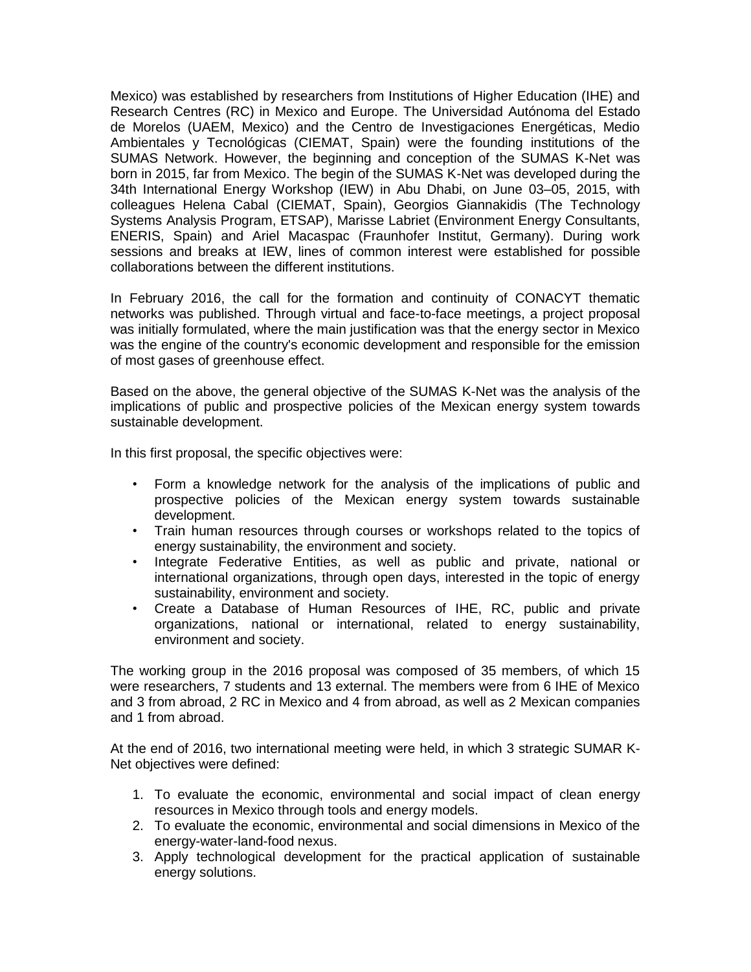Mexico) was established by researchers from Institutions of Higher Education (IHE) and Research Centres (RC) in Mexico and Europe. The Universidad Autónoma del Estado de Morelos (UAEM, Mexico) and the Centro de Investigaciones Energéticas, Medio Ambientales y Tecnológicas (CIEMAT, Spain) were the founding institutions of the SUMAS Network. However, the beginning and conception of the SUMAS K-Net was born in 2015, far from Mexico. The begin of the SUMAS K-Net was developed during the 34th International Energy Workshop (IEW) in Abu Dhabi, on June 03–05, 2015, with colleagues Helena Cabal (CIEMAT, Spain), Georgios Giannakidis (The Technology Systems Analysis Program, ETSAP), Marisse Labriet (Environment Energy Consultants, ENERIS, Spain) and Ariel Macaspac (Fraunhofer Institut, Germany). During work sessions and breaks at IEW, lines of common interest were established for possible collaborations between the different institutions.

In February 2016, the call for the formation and continuity of CONACYT thematic networks was published. Through virtual and face-to-face meetings, a project proposal was initially formulated, where the main justification was that the energy sector in Mexico was the engine of the country's economic development and responsible for the emission of most gases of greenhouse effect.

Based on the above, the general objective of the SUMAS K-Net was the analysis of the implications of public and prospective policies of the Mexican energy system towards sustainable development.

In this first proposal, the specific objectives were:

- Form a knowledge network for the analysis of the implications of public and prospective policies of the Mexican energy system towards sustainable development.
- Train human resources through courses or workshops related to the topics of energy sustainability, the environment and society.
- Integrate Federative Entities, as well as public and private, national or international organizations, through open days, interested in the topic of energy sustainability, environment and society.
- Create a Database of Human Resources of IHE, RC, public and private organizations, national or international, related to energy sustainability, environment and society.

The working group in the 2016 proposal was composed of 35 members, of which 15 were researchers, 7 students and 13 external. The members were from 6 IHE of Mexico and 3 from abroad, 2 RC in Mexico and 4 from abroad, as well as 2 Mexican companies and 1 from abroad.

At the end of 2016, two international meeting were held, in which 3 strategic SUMAR K-Net objectives were defined:

- 1. To evaluate the economic, environmental and social impact of clean energy resources in Mexico through tools and energy models.
- 2. To evaluate the economic, environmental and social dimensions in Mexico of the energy-water-land-food nexus.
- 3. Apply technological development for the practical application of sustainable energy solutions.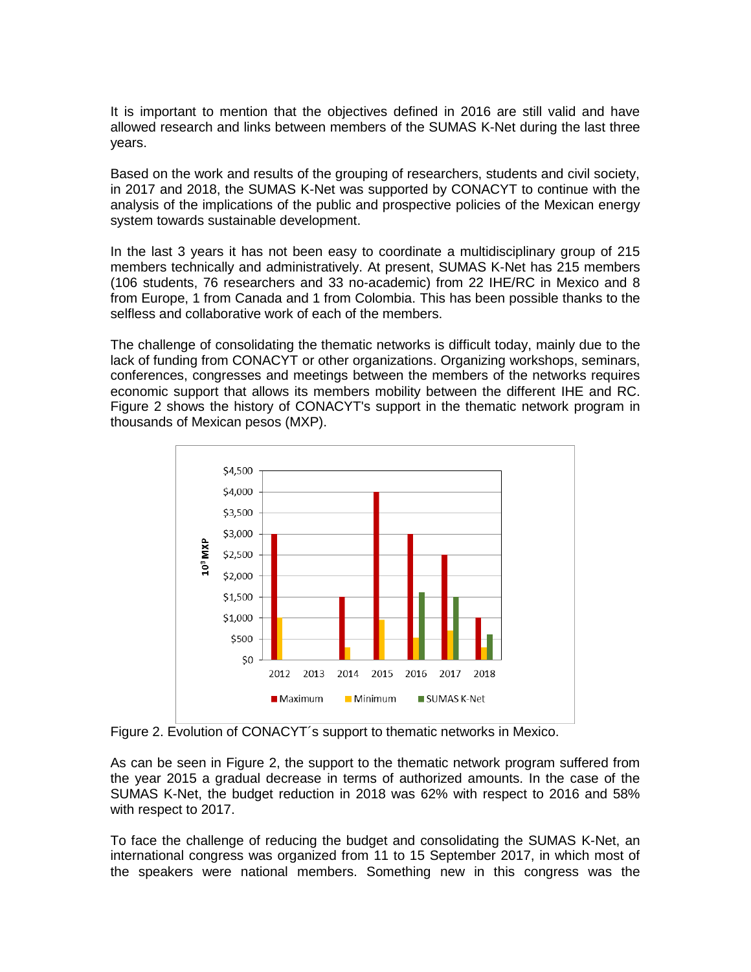It is important to mention that the objectives defined in 2016 are still valid and have allowed research and links between members of the SUMAS K-Net during the last three years.

Based on the work and results of the grouping of researchers, students and civil society, in 2017 and 2018, the SUMAS K-Net was supported by CONACYT to continue with the analysis of the implications of the public and prospective policies of the Mexican energy system towards sustainable development.

In the last 3 years it has not been easy to coordinate a multidisciplinary group of 215 members technically and administratively. At present, SUMAS K-Net has 215 members (106 students, 76 researchers and 33 no-academic) from 22 IHE/RC in Mexico and 8 from Europe, 1 from Canada and 1 from Colombia. This has been possible thanks to the selfless and collaborative work of each of the members.

The challenge of consolidating the thematic networks is difficult today, mainly due to the lack of funding from CONACYT or other organizations. Organizing workshops, seminars, conferences, congresses and meetings between the members of the networks requires economic support that allows its members mobility between the different IHE and RC. Figure 2 shows the history of CONACYT's support in the thematic network program in thousands of Mexican pesos (MXP).



Figure 2. Evolution of CONACYT´s support to thematic networks in Mexico.

As can be seen in Figure 2, the support to the thematic network program suffered from the year 2015 a gradual decrease in terms of authorized amounts. In the case of the SUMAS K-Net, the budget reduction in 2018 was 62% with respect to 2016 and 58% with respect to 2017.

To face the challenge of reducing the budget and consolidating the SUMAS K-Net, an international congress was organized from 11 to 15 September 2017, in which most of the speakers were national members. Something new in this congress was the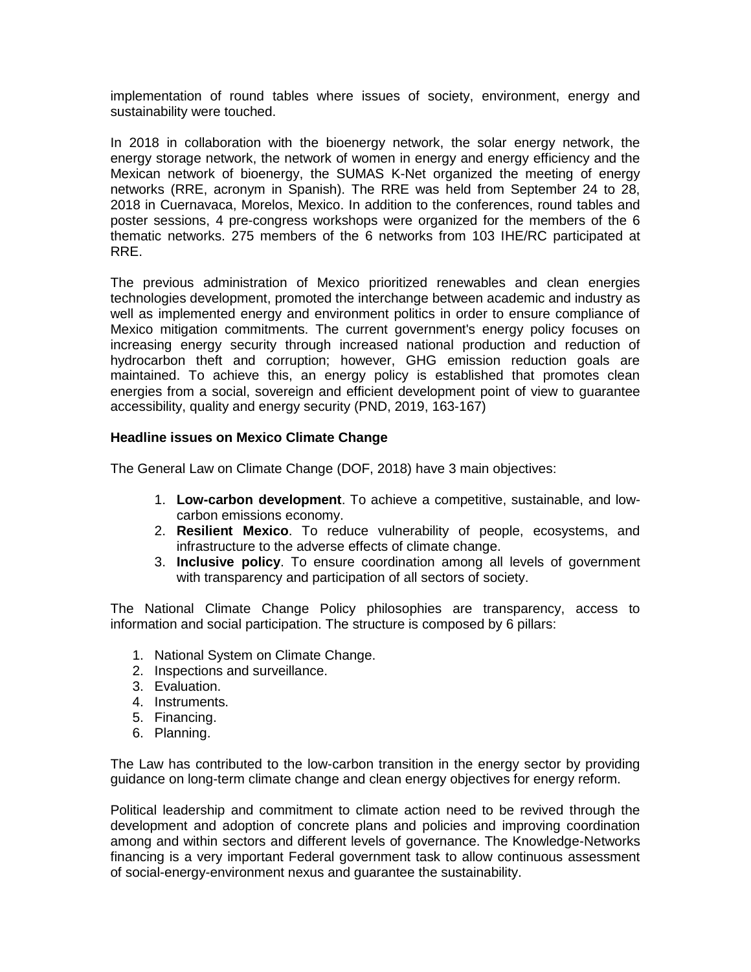implementation of round tables where issues of society, environment, energy and sustainability were touched.

In 2018 in collaboration with the bioenergy network, the solar energy network, the energy storage network, the network of women in energy and energy efficiency and the Mexican network of bioenergy, the SUMAS K-Net organized the meeting of energy networks (RRE, acronym in Spanish). The RRE was held from September 24 to 28, 2018 in Cuernavaca, Morelos, Mexico. In addition to the conferences, round tables and poster sessions, 4 pre-congress workshops were organized for the members of the 6 thematic networks. 275 members of the 6 networks from 103 IHE/RC participated at RRE.

The previous administration of Mexico prioritized renewables and clean energies technologies development, promoted the interchange between academic and industry as well as implemented energy and environment politics in order to ensure compliance of Mexico mitigation commitments. The current government's energy policy focuses on increasing energy security through increased national production and reduction of hydrocarbon theft and corruption; however, GHG emission reduction goals are maintained. To achieve this, an energy policy is established that promotes clean energies from a social, sovereign and efficient development point of view to guarantee accessibility, quality and energy security (PND, 2019, 163-167)

## **Headline issues on Mexico Climate Change**

The General Law on Climate Change (DOF, 2018) have 3 main objectives:

- 1. **Low-carbon development**. To achieve a competitive, sustainable, and lowcarbon emissions economy.
- 2. **Resilient Mexico**. To reduce vulnerability of people, ecosystems, and infrastructure to the adverse effects of climate change.
- 3. **Inclusive policy**. To ensure coordination among all levels of government with transparency and participation of all sectors of society.

The National Climate Change Policy philosophies are transparency, access to information and social participation. The structure is composed by 6 pillars:

- 1. National System on Climate Change.
- 2. Inspections and surveillance.
- 3. Evaluation.
- 4. Instruments.
- 5. Financing.
- 6. Planning.

The Law has contributed to the low-carbon transition in the energy sector by providing guidance on long-term climate change and clean energy objectives for energy reform.

Political leadership and commitment to climate action need to be revived through the development and adoption of concrete plans and policies and improving coordination among and within sectors and different levels of governance. The Knowledge-Networks financing is a very important Federal government task to allow continuous assessment of social-energy-environment nexus and guarantee the sustainability.